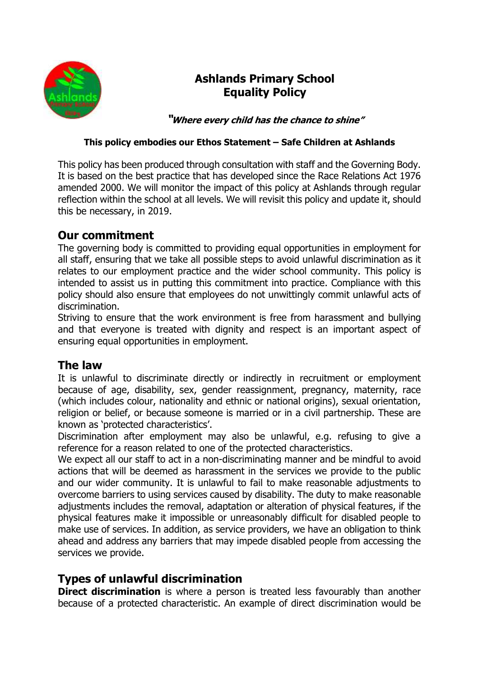

# **Ashlands Primary School Equality Policy**

**"Where every child has the chance to shine"**

#### **This policy embodies our Ethos Statement – Safe Children at Ashlands**

This policy has been produced through consultation with staff and the Governing Body. It is based on the best practice that has developed since the Race Relations Act 1976 amended 2000. We will monitor the impact of this policy at Ashlands through regular reflection within the school at all levels. We will revisit this policy and update it, should this be necessary, in 2019.

### **Our commitment**

The governing body is committed to providing equal opportunities in employment for all staff, ensuring that we take all possible steps to avoid unlawful discrimination as it relates to our employment practice and the wider school community. This policy is intended to assist us in putting this commitment into practice. Compliance with this policy should also ensure that employees do not unwittingly commit unlawful acts of discrimination.

Striving to ensure that the work environment is free from harassment and bullying and that everyone is treated with dignity and respect is an important aspect of ensuring equal opportunities in employment.

#### **The law**

It is unlawful to discriminate directly or indirectly in recruitment or employment because of age, disability, sex, gender reassignment, pregnancy, maternity, race (which includes colour, nationality and ethnic or national origins), sexual orientation, religion or belief, or because someone is married or in a civil partnership. These are known as 'protected characteristics'.

Discrimination after employment may also be unlawful, e.g. refusing to give a reference for a reason related to one of the protected characteristics.

We expect all our staff to act in a non-discriminating manner and be mindful to avoid actions that will be deemed as harassment in the services we provide to the public and our wider community. It is unlawful to fail to make reasonable adjustments to overcome barriers to using services caused by disability. The duty to make reasonable adjustments includes the removal, adaptation or alteration of physical features, if the physical features make it impossible or unreasonably difficult for disabled people to make use of services. In addition, as service providers, we have an obligation to think ahead and address any barriers that may impede disabled people from accessing the services we provide.

## **Types of unlawful discrimination**

**Direct discrimination** is where a person is treated less favourably than another because of a protected characteristic. An example of direct discrimination would be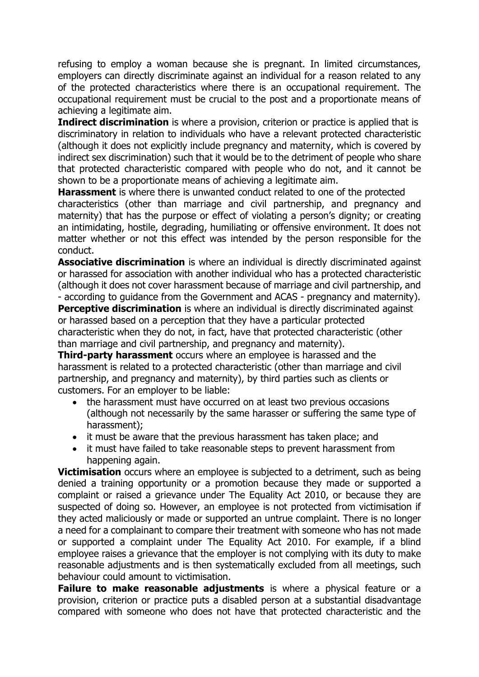refusing to employ a woman because she is pregnant. In limited circumstances, employers can directly discriminate against an individual for a reason related to any of the protected characteristics where there is an occupational requirement. The occupational requirement must be crucial to the post and a proportionate means of achieving a legitimate aim.

**Indirect discrimination** is where a provision, criterion or practice is applied that is discriminatory in relation to individuals who have a relevant protected characteristic (although it does not explicitly include pregnancy and maternity, which is covered by indirect sex discrimination) such that it would be to the detriment of people who share that protected characteristic compared with people who do not, and it cannot be shown to be a proportionate means of achieving a legitimate aim.

**Harassment** is where there is unwanted conduct related to one of the protected characteristics (other than marriage and civil partnership, and pregnancy and maternity) that has the purpose or effect of violating a person's dignity; or creating an intimidating, hostile, degrading, humiliating or offensive environment. It does not matter whether or not this effect was intended by the person responsible for the conduct.

**Associative discrimination** is where an individual is directly discriminated against or harassed for association with another individual who has a protected characteristic (although it does not cover harassment because of marriage and civil partnership, and - according to guidance from the Government and ACAS - pregnancy and maternity).

**Perceptive discrimination** is where an individual is directly discriminated against or harassed based on a perception that they have a particular protected characteristic when they do not, in fact, have that protected characteristic (other than marriage and civil partnership, and pregnancy and maternity).

**Third-party harassment** occurs where an employee is harassed and the harassment is related to a protected characteristic (other than marriage and civil partnership, and pregnancy and maternity), by third parties such as clients or customers. For an employer to be liable:

- the harassment must have occurred on at least two previous occasions (although not necessarily by the same harasser or suffering the same type of harassment);
- it must be aware that the previous harassment has taken place; and
- it must have failed to take reasonable steps to prevent harassment from happening again.

**Victimisation** occurs where an employee is subjected to a detriment, such as being denied a training opportunity or a promotion because they made or supported a complaint or raised a grievance under The Equality Act 2010, or because they are suspected of doing so. However, an employee is not protected from victimisation if they acted maliciously or made or supported an untrue complaint. There is no longer a need for a complainant to compare their treatment with someone who has not made or supported a complaint under The Equality Act 2010. For example, if a blind employee raises a grievance that the employer is not complying with its duty to make reasonable adjustments and is then systematically excluded from all meetings, such behaviour could amount to victimisation.

**Failure to make reasonable adjustments** is where a physical feature or a provision, criterion or practice puts a disabled person at a substantial disadvantage compared with someone who does not have that protected characteristic and the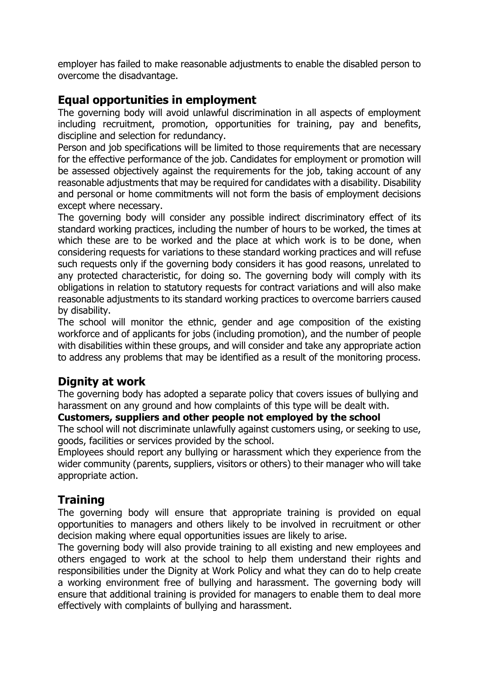employer has failed to make reasonable adjustments to enable the disabled person to overcome the disadvantage.

#### **Equal opportunities in employment**

The governing body will avoid unlawful discrimination in all aspects of employment including recruitment, promotion, opportunities for training, pay and benefits, discipline and selection for redundancy.

Person and job specifications will be limited to those requirements that are necessary for the effective performance of the job. Candidates for employment or promotion will be assessed objectively against the requirements for the job, taking account of any reasonable adjustments that may be required for candidates with a disability. Disability and personal or home commitments will not form the basis of employment decisions except where necessary.

The governing body will consider any possible indirect discriminatory effect of its standard working practices, including the number of hours to be worked, the times at which these are to be worked and the place at which work is to be done, when considering requests for variations to these standard working practices and will refuse such requests only if the governing body considers it has good reasons, unrelated to any protected characteristic, for doing so. The governing body will comply with its obligations in relation to statutory requests for contract variations and will also make reasonable adjustments to its standard working practices to overcome barriers caused by disability.

The school will monitor the ethnic, gender and age composition of the existing workforce and of applicants for jobs (including promotion), and the number of people with disabilities within these groups, and will consider and take any appropriate action to address any problems that may be identified as a result of the monitoring process.

#### **Dignity at work**

The governing body has adopted a separate policy that covers issues of bullying and harassment on any ground and how complaints of this type will be dealt with.

#### **Customers, suppliers and other people not employed by the school**

The school will not discriminate unlawfully against customers using, or seeking to use, goods, facilities or services provided by the school.

Employees should report any bullying or harassment which they experience from the wider community (parents, suppliers, visitors or others) to their manager who will take appropriate action.

## **Training**

The governing body will ensure that appropriate training is provided on equal opportunities to managers and others likely to be involved in recruitment or other decision making where equal opportunities issues are likely to arise.

The governing body will also provide training to all existing and new employees and others engaged to work at the school to help them understand their rights and responsibilities under the Dignity at Work Policy and what they can do to help create a working environment free of bullying and harassment. The governing body will ensure that additional training is provided for managers to enable them to deal more effectively with complaints of bullying and harassment.